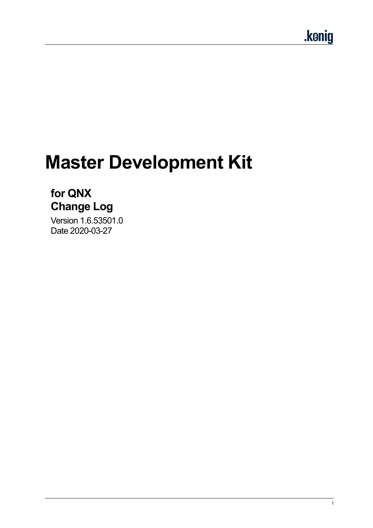# **Master Development Kit**

## **for QNX Change Log**

Version 1.6.53501.0 Date 2020-03-27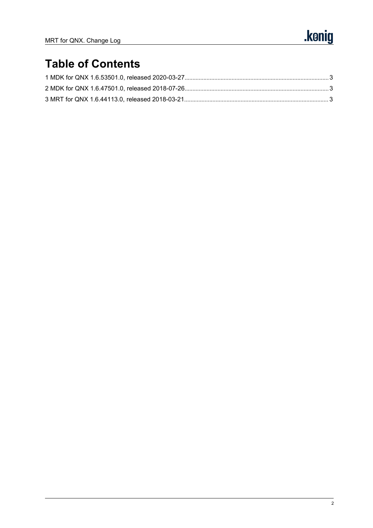# **Table of Contents**